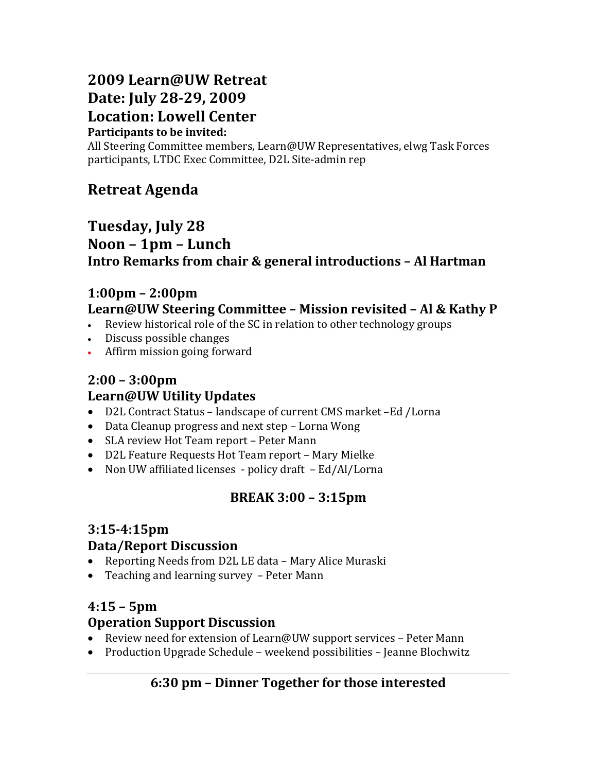# **2009 Learn@UW Retreat Date: July 28-29, 2009 Location: Lowell Center**

#### **Participants to be invited:**

All Steering Committee members, Learn@UW Representatives, elwg Task Forces participants, LTDC Exec Committee, D2L Site-admin rep

## **Retreat Agenda**

## **Tuesday, July 28 Noon – 1pm – Lunch Intro Remarks from chair & general introductions – Al Hartman**

#### **1:00pm – 2:00pm Learn@UW Steering Committee – Mission revisited – Al & Kathy P**

- Review historical role of the SC in relation to other technology groups
- Discuss possible changes
- Affirm mission going forward

## **2:00 – 3:00pm Learn@UW Utility Updates**

- D2L Contract Status landscape of current CMS market –Ed /Lorna
- Data Cleanup progress and next step Lorna Wong
- SLA review Hot Team report Peter Mann
- D2L Feature Requests Hot Team report Mary Mielke
- Non UW affiliated licenses policy draft Ed/Al/Lorna

## **BREAK 3:00 – 3:15pm**

# **3:15-4:15pm**

#### **Data/Report Discussion**

- Reporting Needs from D2L LE data Mary Alice Muraski
- Teaching and learning survey Peter Mann

## **4:15 – 5pm**

#### **Operation Support Discussion**

- Review need for extension of Learn@UW support services Peter Mann
- Production Upgrade Schedule weekend possibilities Jeanne Blochwitz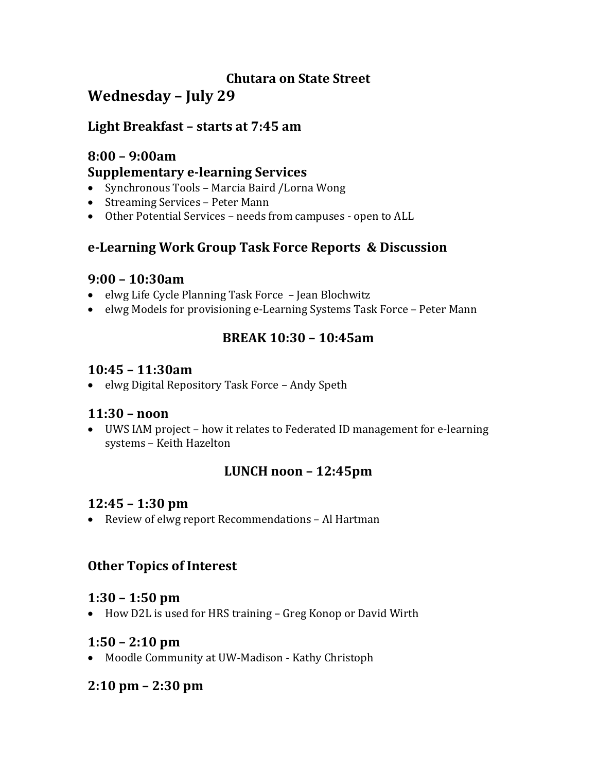## **Chutara on State Street Wednesday – July 29**

#### **Light Breakfast – starts at 7:45 am**

## **8:00 – 9:00am Supplementary e-learning Services**

- Synchronous Tools Marcia Baird /Lorna Wong
- Streaming Services Peter Mann
- Other Potential Services needs from campuses open to ALL

#### **e-Learning Work Group Task Force Reports & Discussion**

#### **9:00 – 10:30am**

- elwg Life Cycle Planning Task Force Jean Blochwitz
- elwg Models for provisioning e-Learning Systems Task Force Peter Mann

## **BREAK 10:30 – 10:45am**

#### **10:45 – 11:30am**

• elwg Digital Repository Task Force – Andy Speth

#### **11:30 – noon**

• UWS IAM project – how it relates to Federated ID management for e-learning systems – Keith Hazelton

## **LUNCH noon – 12:45pm**

#### **12:45 – 1:30 pm**

• Review of elwg report Recommendations – Al Hartman

## **Other Topics of Interest**

#### **1:30 – 1:50 pm**

• How D2L is used for HRS training – Greg Konop or David Wirth

## **1:50 – 2:10 pm**

• Moodle Community at UW-Madison - Kathy Christoph

## **2:10 pm – 2:30 pm**